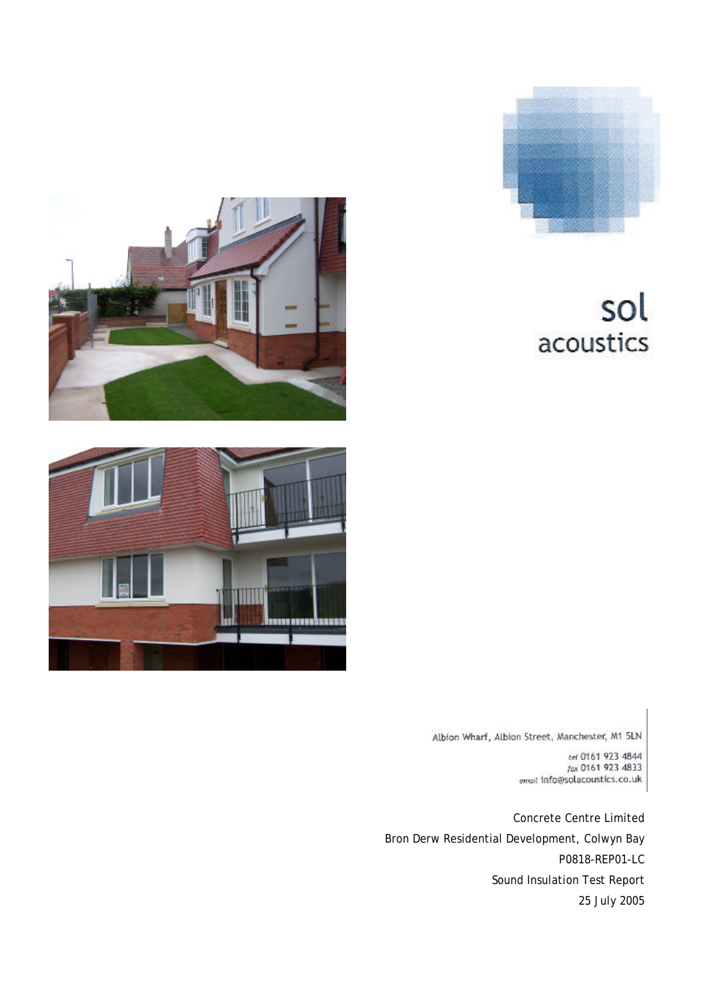

# sol acoustics





Albion Wharf, Albion Street, Manchester, M1 5LN

Concrete Centre Limited Bron Derw Residential Development, Colwyn Bay P0818-REP01-LC Sound Insulation Test Report 25 July 2005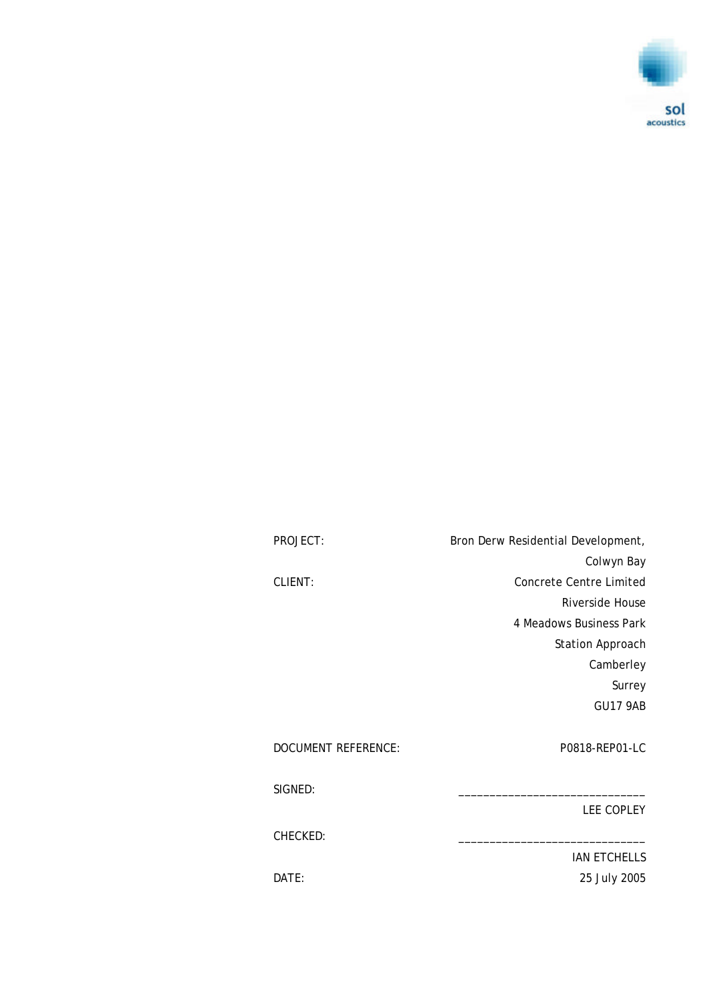

PROJECT: Bron Derw Residential Development, Colwyn Bay CLIENT: Concrete Centre Limited Riverside House 4 Meadows Business Park Station Approach Camberley Surrey GU17 9AB DOCUMENT REFERENCE: P0818-REP01-LC SIGNED: LEE COPLEY CHECKED: IAN ETCHELLS DATE: 25 July 2005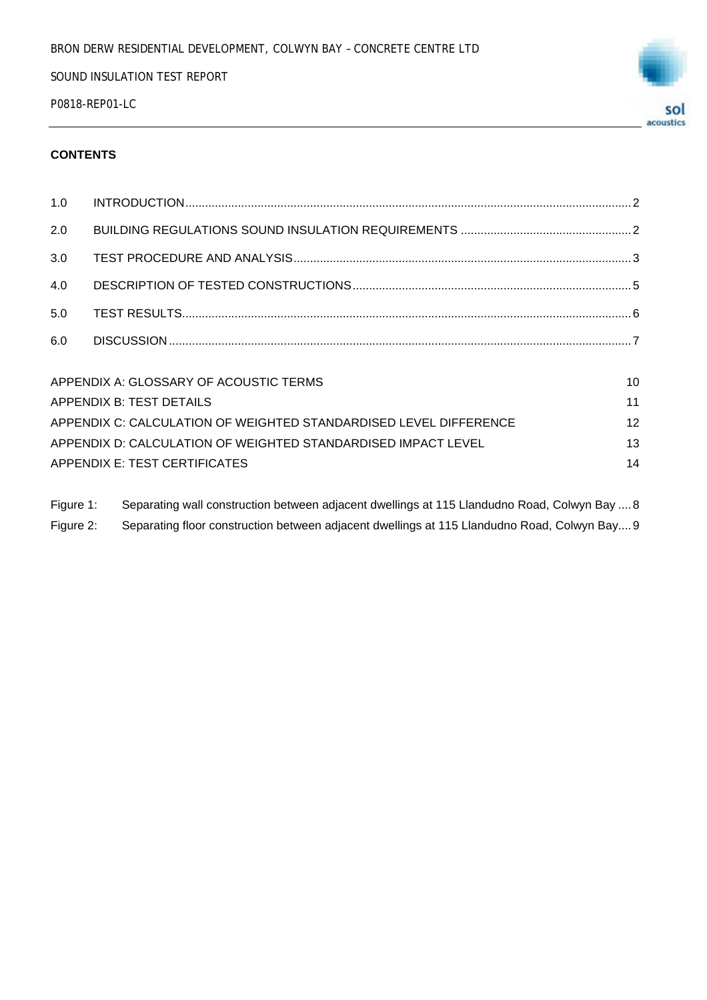P0818-REP01-LC



#### **CONTENTS**

| APPENDIX A: GLOSSARY OF ACOUSTIC TERMS                            | 10 |
|-------------------------------------------------------------------|----|
| APPENDIX B: TEST DETAILS                                          | 11 |
| APPENDIX C: CALCULATION OF WEIGHTED STANDARDISED LEVEL DIFFERENCE | 12 |
| APPENDIX D: CALCULATION OF WEIGHTED STANDARDISED IMPACT LEVEL     | 13 |
| APPENDIX E: TEST CERTIFICATES                                     | 14 |
|                                                                   |    |

Figure 1: Separating wall construction between adjacent dwellings at 115 Llandudno Road, Colwyn Bay ....8 Figure 2: Separating floor construction between adjacent dwellings at 115 Llandudno Road, Colwyn Bay....9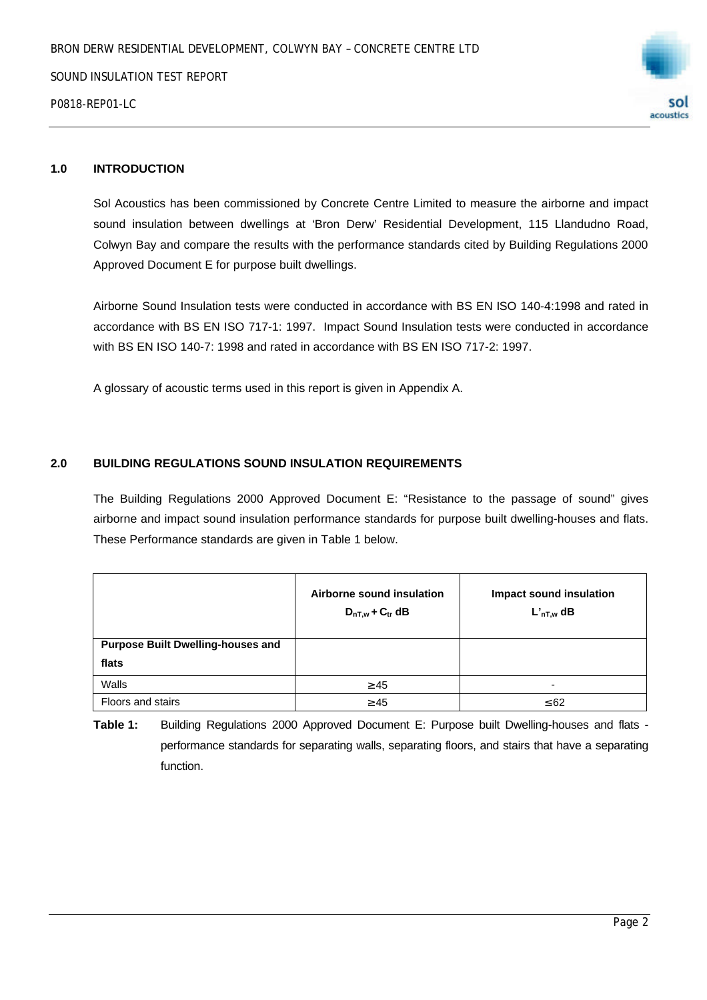

## **1.0 INTRODUCTION**

Sol Acoustics has been commissioned by Concrete Centre Limited to measure the airborne and impact sound insulation between dwellings at 'Bron Derw' Residential Development, 115 Llandudno Road, Colwyn Bay and compare the results with the performance standards cited by Building Regulations 2000 Approved Document E for purpose built dwellings.

Airborne Sound Insulation tests were conducted in accordance with BS EN ISO 140-4:1998 and rated in accordance with BS EN ISO 717-1: 1997. Impact Sound Insulation tests were conducted in accordance with BS EN ISO 140-7: 1998 and rated in accordance with BS EN ISO 717-2: 1997.

A glossary of acoustic terms used in this report is given in Appendix A.

#### **2.0 BUILDING REGULATIONS SOUND INSULATION REQUIREMENTS**

The Building Regulations 2000 Approved Document E: "Resistance to the passage of sound" gives airborne and impact sound insulation performance standards for purpose built dwelling-houses and flats. These Performance standards are given in Table 1 below.

|                                          | Airborne sound insulation<br>$D_{nT,w}$ + $C_{tr}$ dB | Impact sound insulation<br>$L'_{nT,w}$ dB |
|------------------------------------------|-------------------------------------------------------|-------------------------------------------|
| <b>Purpose Built Dwelling-houses and</b> |                                                       |                                           |
| flats                                    |                                                       |                                           |
| Walls                                    | $\geq 45$                                             |                                           |
| Floors and stairs                        | $\geq 45$                                             | $\leq 62$                                 |

**Table 1:** Building Regulations 2000 Approved Document E: Purpose built Dwelling-houses and flats performance standards for separating walls, separating floors, and stairs that have a separating function.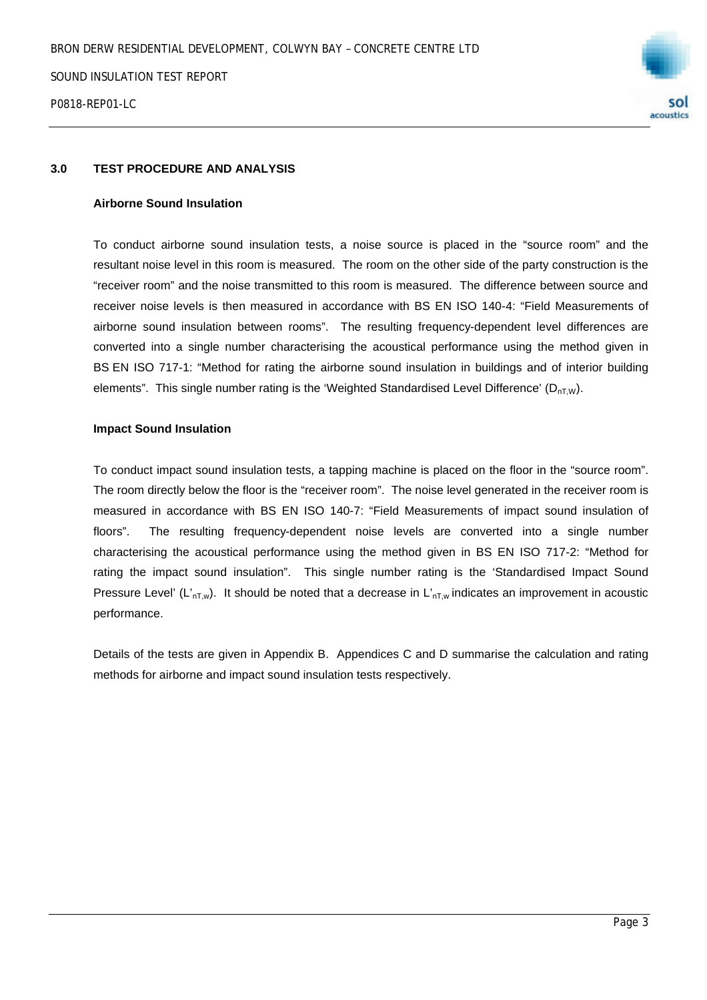

#### **3.0 TEST PROCEDURE AND ANALYSIS**

#### **Airborne Sound Insulation**

To conduct airborne sound insulation tests, a noise source is placed in the "source room" and the resultant noise level in this room is measured. The room on the other side of the party construction is the "receiver room" and the noise transmitted to this room is measured. The difference between source and receiver noise levels is then measured in accordance with BS EN ISO 140-4: "Field Measurements of airborne sound insulation between rooms". The resulting frequency-dependent level differences are converted into a single number characterising the acoustical performance using the method given in BS EN ISO 717-1: "Method for rating the airborne sound insulation in buildings and of interior building elements". This single number rating is the 'Weighted Standardised Level Difference'  $(D_{nTW})$ .

#### **Impact Sound Insulation**

To conduct impact sound insulation tests, a tapping machine is placed on the floor in the "source room". The room directly below the floor is the "receiver room". The noise level generated in the receiver room is measured in accordance with BS EN ISO 140-7: "Field Measurements of impact sound insulation of floors". The resulting frequency-dependent noise levels are converted into a single number characterising the acoustical performance using the method given in BS EN ISO 717-2: "Method for rating the impact sound insulation". This single number rating is the 'Standardised Impact Sound Pressure Level' (L'<sub>nT,w</sub>). It should be noted that a decrease in L'<sub>nT,w</sub> indicates an improvement in acoustic performance.

Details of the tests are given in Appendix B. Appendices C and D summarise the calculation and rating methods for airborne and impact sound insulation tests respectively.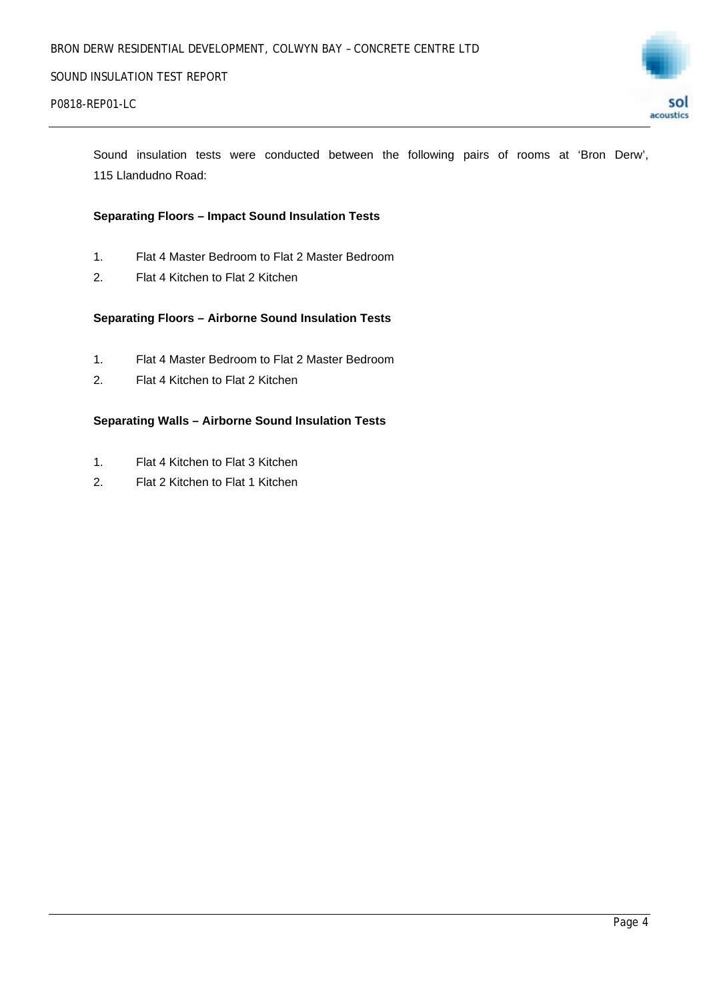

Sound insulation tests were conducted between the following pairs of rooms at 'Bron Derw', 115 Llandudno Road:

#### **Separating Floors – Impact Sound Insulation Tests**

- 1. Flat 4 Master Bedroom to Flat 2 Master Bedroom
- 2. Flat 4 Kitchen to Flat 2 Kitchen

#### **Separating Floors – Airborne Sound Insulation Tests**

- 1. Flat 4 Master Bedroom to Flat 2 Master Bedroom
- 2. Flat 4 Kitchen to Flat 2 Kitchen

#### **Separating Walls – Airborne Sound Insulation Tests**

- 1. Flat 4 Kitchen to Flat 3 Kitchen
- 2. Flat 2 Kitchen to Flat 1 Kitchen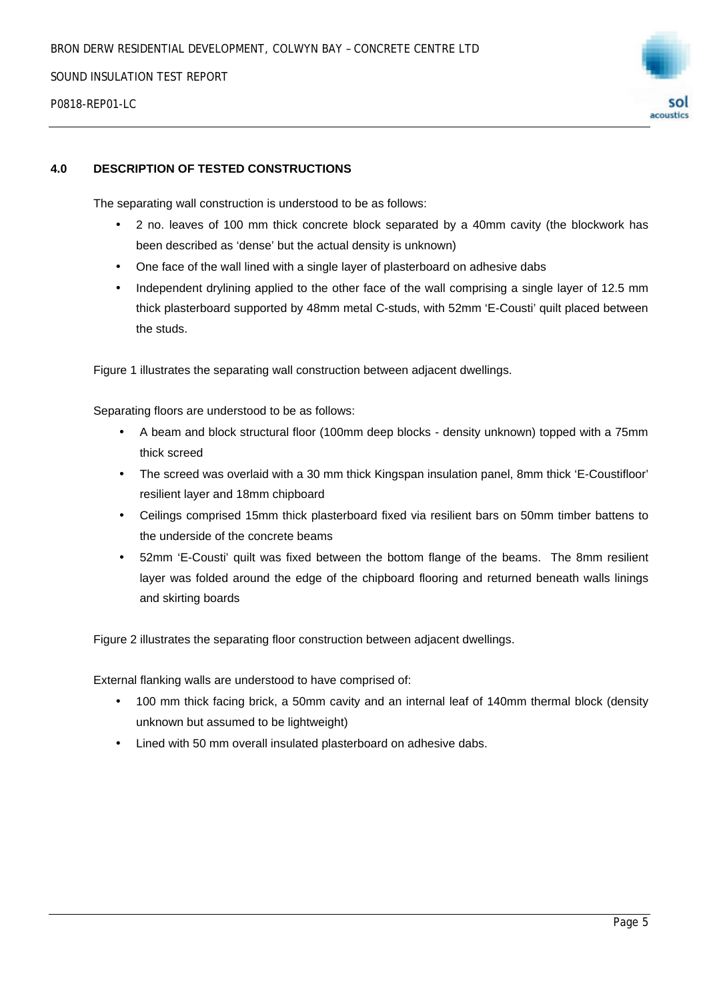P0818-RFP01-LC



#### **4.0 DESCRIPTION OF TESTED CONSTRUCTIONS**

The separating wall construction is understood to be as follows:

- 2 no. leaves of 100 mm thick concrete block separated by a 40mm cavity (the blockwork has been described as 'dense' but the actual density is unknown)
- One face of the wall lined with a single layer of plasterboard on adhesive dabs
- Independent drylining applied to the other face of the wall comprising a single layer of 12.5 mm thick plasterboard supported by 48mm metal C-studs, with 52mm 'E-Cousti' quilt placed between the studs.

Figure 1 illustrates the separating wall construction between adjacent dwellings.

Separating floors are understood to be as follows:

- A beam and block structural floor (100mm deep blocks density unknown) topped with a 75mm thick screed
- The screed was overlaid with a 30 mm thick Kingspan insulation panel, 8mm thick 'E-Coustifloor' resilient layer and 18mm chipboard
- Ceilings comprised 15mm thick plasterboard fixed via resilient bars on 50mm timber battens to the underside of the concrete beams
- 52mm 'E-Cousti' quilt was fixed between the bottom flange of the beams. The 8mm resilient layer was folded around the edge of the chipboard flooring and returned beneath walls linings and skirting boards

Figure 2 illustrates the separating floor construction between adjacent dwellings.

External flanking walls are understood to have comprised of:

- 100 mm thick facing brick, a 50mm cavity and an internal leaf of 140mm thermal block (density unknown but assumed to be lightweight)
- Lined with 50 mm overall insulated plasterboard on adhesive dabs.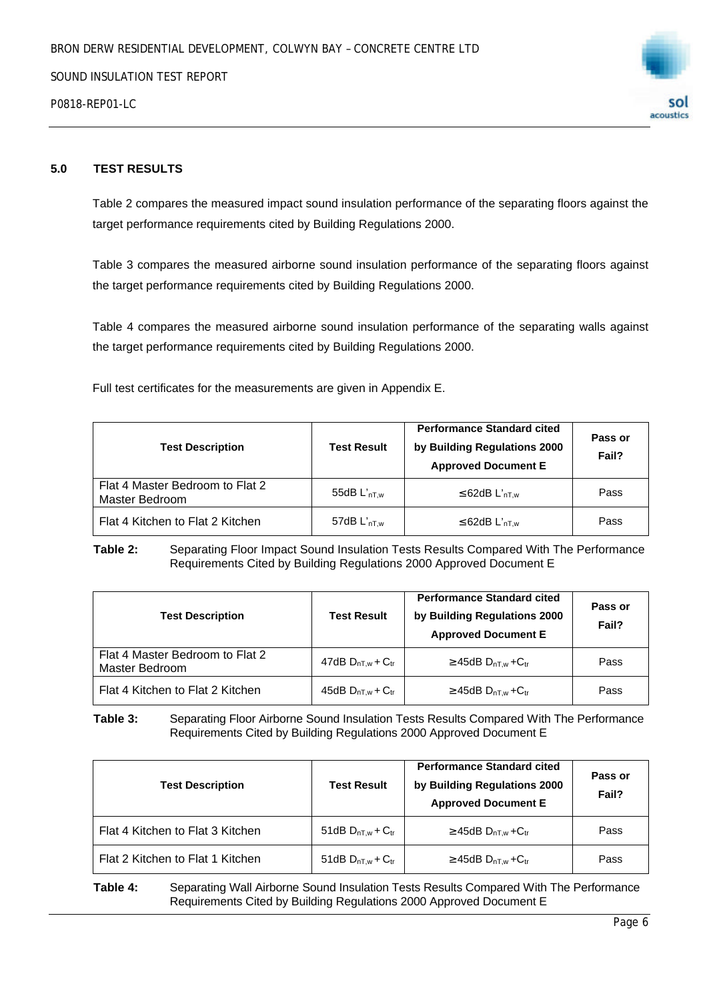



#### **5.0 TEST RESULTS**

Table 2 compares the measured impact sound insulation performance of the separating floors against the target performance requirements cited by Building Regulations 2000.

Table 3 compares the measured airborne sound insulation performance of the separating floors against the target performance requirements cited by Building Regulations 2000.

Table 4 compares the measured airborne sound insulation performance of the separating walls against the target performance requirements cited by Building Regulations 2000.

Full test certificates for the measurements are given in Appendix E.

| <b>Test Description</b>                           | <b>Test Result</b>      | <b>Performance Standard cited</b><br>by Building Regulations 2000<br><b>Approved Document E</b> | Pass or<br>Fail? |
|---------------------------------------------------|-------------------------|-------------------------------------------------------------------------------------------------|------------------|
| Flat 4 Master Bedroom to Flat 2<br>Master Bedroom | 55dB $L'_{\text{nT.w}}$ | $\leq$ 62dB L' <sub>nT.w</sub>                                                                  | Pass             |
| Flat 4 Kitchen to Flat 2 Kitchen                  | 57dB $L'_{\text{nT.w}}$ | $\leq$ 62dB L' <sub>nT.w</sub>                                                                  | Pass             |

**Table 2:** Separating Floor Impact Sound Insulation Tests Results Compared With The Performance Requirements Cited by Building Regulations 2000 Approved Document E

| <b>Test Description</b>                           | <b>Test Result</b>         | <b>Performance Standard cited</b><br>by Building Regulations 2000<br><b>Approved Document E</b> | Pass or<br>Fail? |  |  |
|---------------------------------------------------|----------------------------|-------------------------------------------------------------------------------------------------|------------------|--|--|
| Flat 4 Master Bedroom to Flat 2<br>Master Bedroom | 47dB $D_{nT,w}$ + $C_{tr}$ | $\geq$ 45dB D <sub>nT.w</sub> +C <sub>tr</sub>                                                  | Pass             |  |  |
| Flat 4 Kitchen to Flat 2 Kitchen                  | 45dB $D_{nT,w}$ + $C_{tr}$ | $\geq$ 45dB D <sub>nT.w</sub> + C <sub>tr</sub>                                                 | Pass             |  |  |

**Table 3:** Separating Floor Airborne Sound Insulation Tests Results Compared With The Performance Requirements Cited by Building Regulations 2000 Approved Document E

| <b>Test Description</b>          | <b>Test Result</b>         | <b>Performance Standard cited</b><br>by Building Regulations 2000<br><b>Approved Document E</b> | Pass or<br>Fail? |  |  |
|----------------------------------|----------------------------|-------------------------------------------------------------------------------------------------|------------------|--|--|
| Flat 4 Kitchen to Flat 3 Kitchen | 51dB $D_{nT,w}$ + $C_{tr}$ | $\geq$ 45dB D <sub>nT.w</sub> + C <sub>tr</sub>                                                 | Pass             |  |  |
| Flat 2 Kitchen to Flat 1 Kitchen | 51dB $D_{nT,w}$ + $C_{tr}$ | $\geq$ 45dB D <sub>nT w</sub> + C <sub>tr</sub>                                                 | Pass             |  |  |

**Table 4:** Separating Wall Airborne Sound Insulation Tests Results Compared With The Performance Requirements Cited by Building Regulations 2000 Approved Document E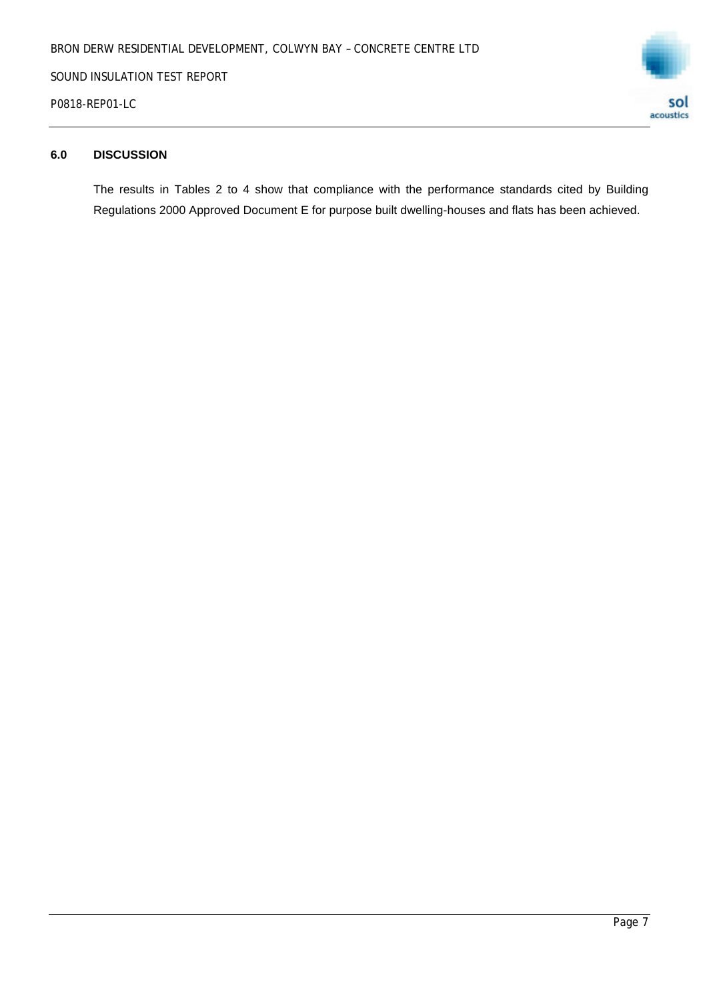P0818-REP01-LC



#### **6.0 DISCUSSION**

The results in Tables 2 to 4 show that compliance with the performance standards cited by Building Regulations 2000 Approved Document E for purpose built dwelling-houses and flats has been achieved.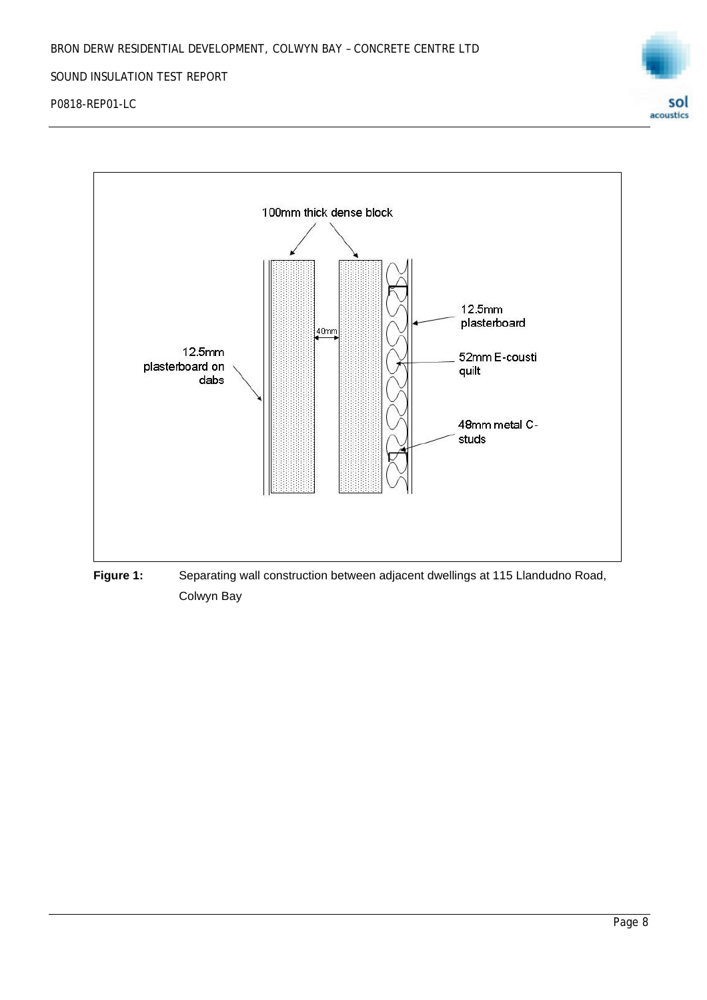

P0818-REP01-LC



Colwyn Bay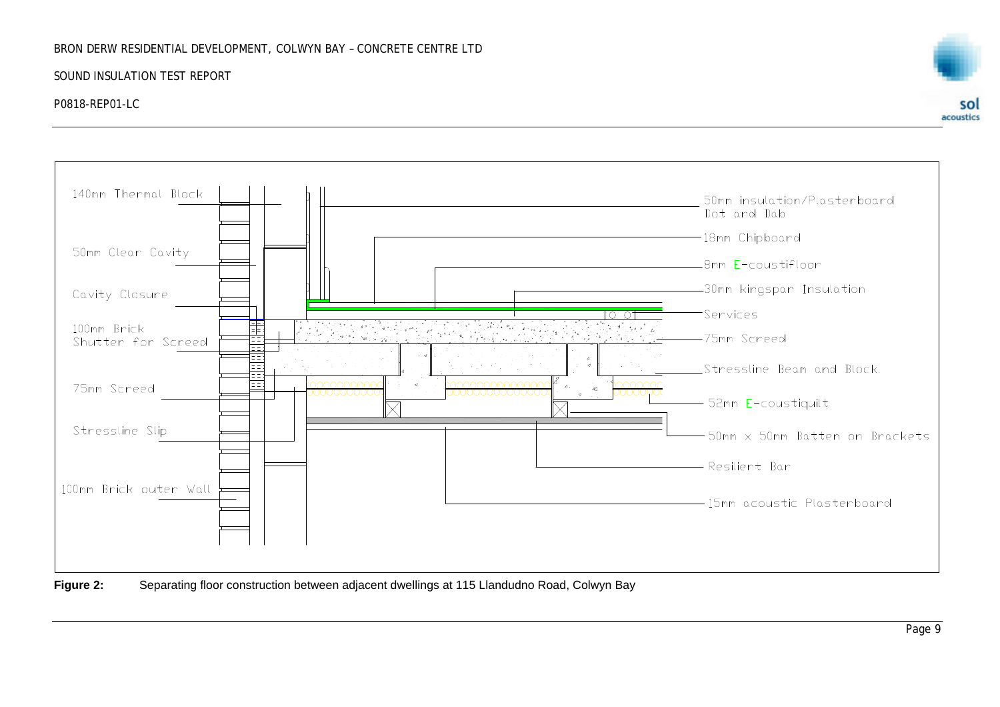#### BRON DERW RESIDENTIAL DEVELOPMENT, COLWYN BAY – CONCRETE CENTRE LTD

#### SOUND INSULATION TEST REPORT

#### P0818-REP01-LC





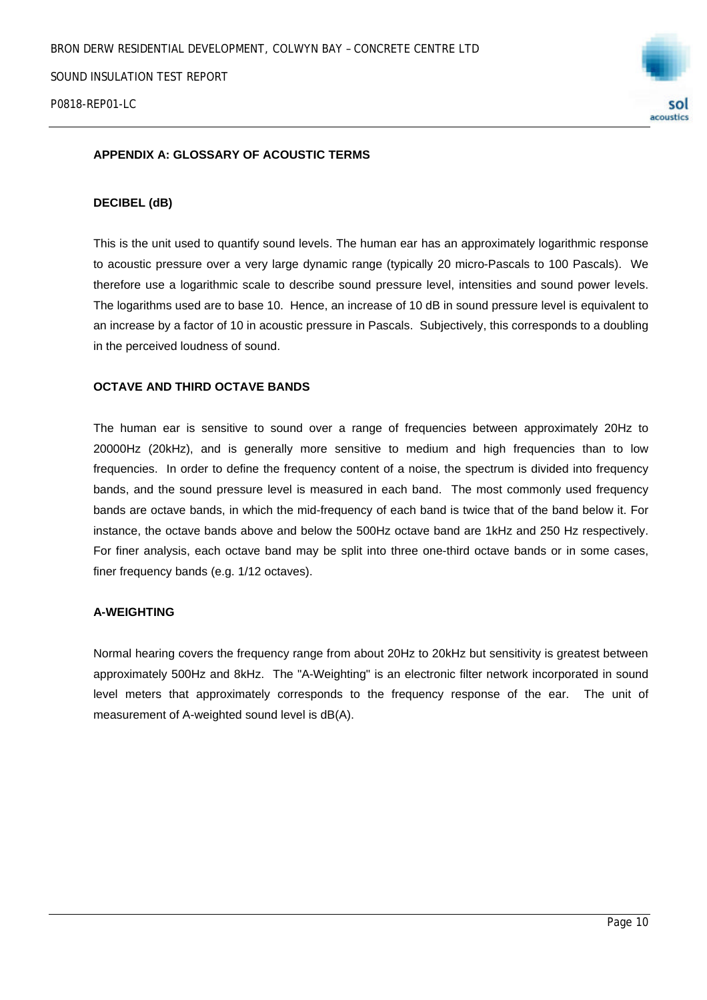

#### **APPENDIX A: GLOSSARY OF ACOUSTIC TERMS**

#### **DECIBEL (dB)**

This is the unit used to quantify sound levels. The human ear has an approximately logarithmic response to acoustic pressure over a very large dynamic range (typically 20 micro-Pascals to 100 Pascals). We therefore use a logarithmic scale to describe sound pressure level, intensities and sound power levels. The logarithms used are to base 10. Hence, an increase of 10 dB in sound pressure level is equivalent to an increase by a factor of 10 in acoustic pressure in Pascals. Subjectively, this corresponds to a doubling in the perceived loudness of sound.

#### **OCTAVE AND THIRD OCTAVE BANDS**

The human ear is sensitive to sound over a range of frequencies between approximately 20Hz to 20000Hz (20kHz), and is generally more sensitive to medium and high frequencies than to low frequencies. In order to define the frequency content of a noise, the spectrum is divided into frequency bands, and the sound pressure level is measured in each band. The most commonly used frequency bands are octave bands, in which the mid-frequency of each band is twice that of the band below it. For instance, the octave bands above and below the 500Hz octave band are 1kHz and 250 Hz respectively. For finer analysis, each octave band may be split into three one-third octave bands or in some cases, finer frequency bands (e.g. 1/12 octaves).

#### **A-WEIGHTING**

Normal hearing covers the frequency range from about 20Hz to 20kHz but sensitivity is greatest between approximately 500Hz and 8kHz. The "A-Weighting" is an electronic filter network incorporated in sound level meters that approximately corresponds to the frequency response of the ear. The unit of measurement of A-weighted sound level is dB(A).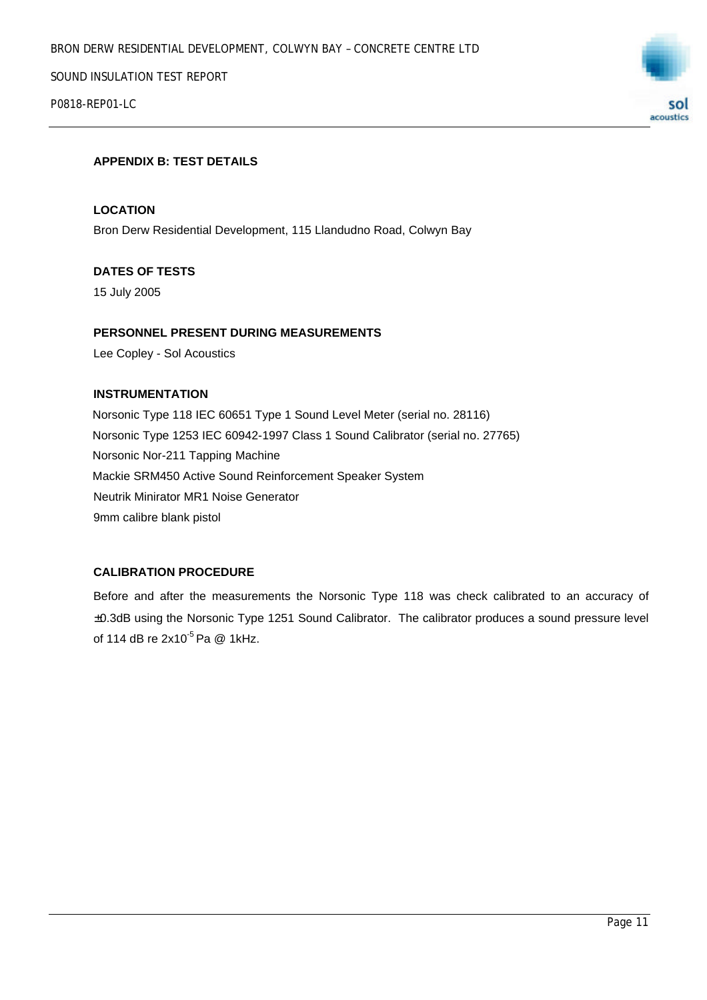P0818-REP01-LC



#### **APPENDIX B: TEST DETAILS**

#### **LOCATION**

Bron Derw Residential Development, 115 Llandudno Road, Colwyn Bay

#### **DATES OF TESTS**

15 July 2005

#### **PERSONNEL PRESENT DURING MEASUREMENTS**

Lee Copley - Sol Acoustics

#### **INSTRUMENTATION**

Norsonic Type 118 IEC 60651 Type 1 Sound Level Meter (serial no. 28116) Norsonic Type 1253 IEC 60942-1997 Class 1 Sound Calibrator (serial no. 27765) Norsonic Nor-211 Tapping Machine Mackie SRM450 Active Sound Reinforcement Speaker System Neutrik Minirator MR1 Noise Generator 9mm calibre blank pistol

#### **CALIBRATION PROCEDURE**

Before and after the measurements the Norsonic Type 118 was check calibrated to an accuracy of ±0.3dB using the Norsonic Type 1251 Sound Calibrator. The calibrator produces a sound pressure level of 114 dB re  $2x10^{-5}$  Pa @ 1kHz.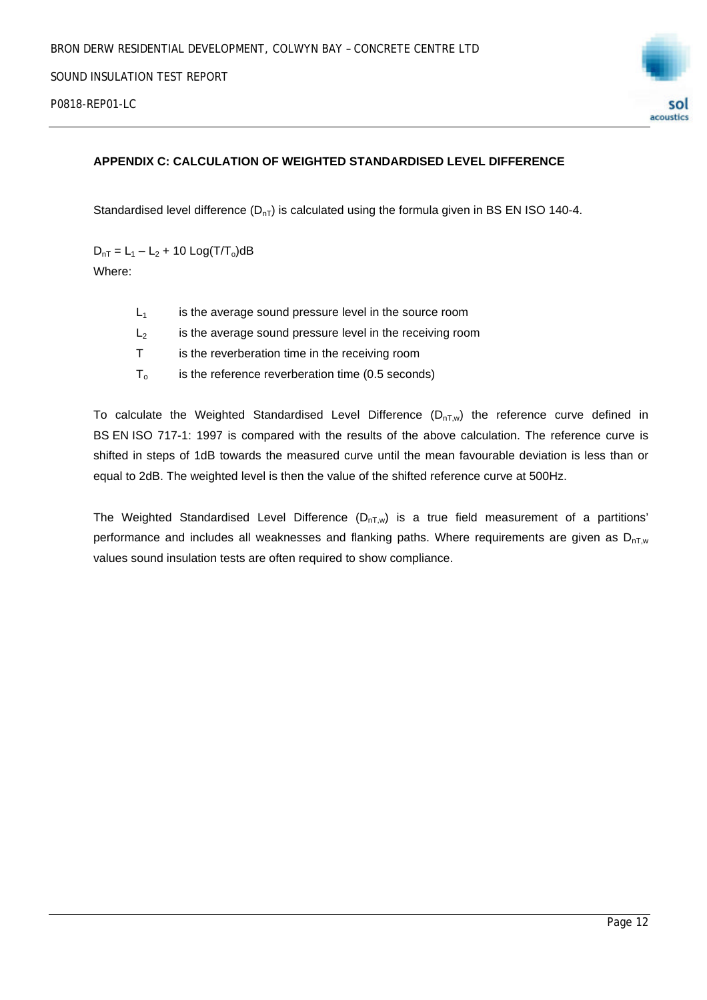

#### **APPENDIX C: CALCULATION OF WEIGHTED STANDARDISED LEVEL DIFFERENCE**

Standardised level difference  $(D_{nT})$  is calculated using the formula given in BS EN ISO 140-4.

 $D_{nT} = L_1 - L_2 + 10$  Log(T/T<sub>o</sub>)dB Where:

| L1 | is the average sound pressure level in the source room |
|----|--------------------------------------------------------|
|    |                                                        |

- $L<sub>2</sub>$  is the average sound pressure level in the receiving room
- T is the reverberation time in the receiving room
- $T<sub>o</sub>$  is the reference reverberation time (0.5 seconds)

To calculate the Weighted Standardised Level Difference  $(D_{nTw})$  the reference curve defined in BS EN ISO 717-1: 1997 is compared with the results of the above calculation. The reference curve is shifted in steps of 1dB towards the measured curve until the mean favourable deviation is less than or equal to 2dB. The weighted level is then the value of the shifted reference curve at 500Hz.

The Weighted Standardised Level Difference  $(D_{nT,w})$  is a true field measurement of a partitions' performance and includes all weaknesses and flanking paths. Where requirements are given as  $D_{nT,w}$ values sound insulation tests are often required to show compliance.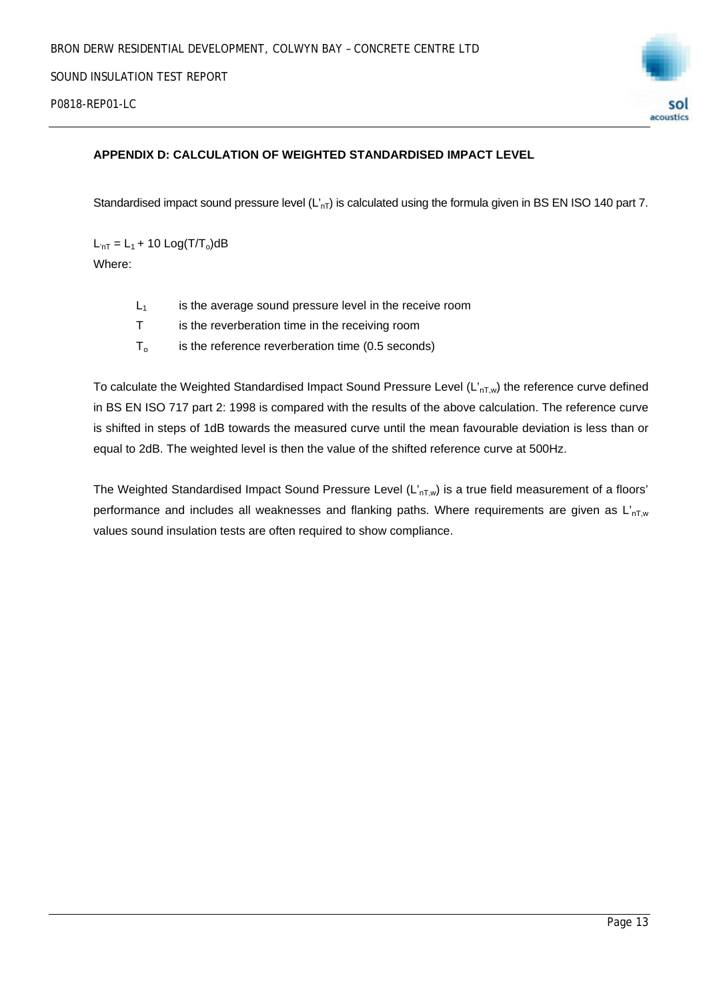

#### **APPENDIX D: CALCULATION OF WEIGHTED STANDARDISED IMPACT LEVEL**

Standardised impact sound pressure level  $(L_{nT})$  is calculated using the formula given in BS EN ISO 140 part 7.

 $L_{nT} = L_1 + 10$  Log(T/T<sub>o</sub>)dB Where:

- $L_1$  is the average sound pressure level in the receive room
- T is the reverberation time in the receiving room
- $T_0$  is the reference reverberation time (0.5 seconds)

To calculate the Weighted Standardised Impact Sound Pressure Level  $(L'_{nT,w})$  the reference curve defined in BS EN ISO 717 part 2: 1998 is compared with the results of the above calculation. The reference curve is shifted in steps of 1dB towards the measured curve until the mean favourable deviation is less than or equal to 2dB. The weighted level is then the value of the shifted reference curve at 500Hz.

The Weighted Standardised Impact Sound Pressure Level  $(L'_{nT,w})$  is a true field measurement of a floors' performance and includes all weaknesses and flanking paths. Where requirements are given as  $L_{nT,w}$ values sound insulation tests are often required to show compliance.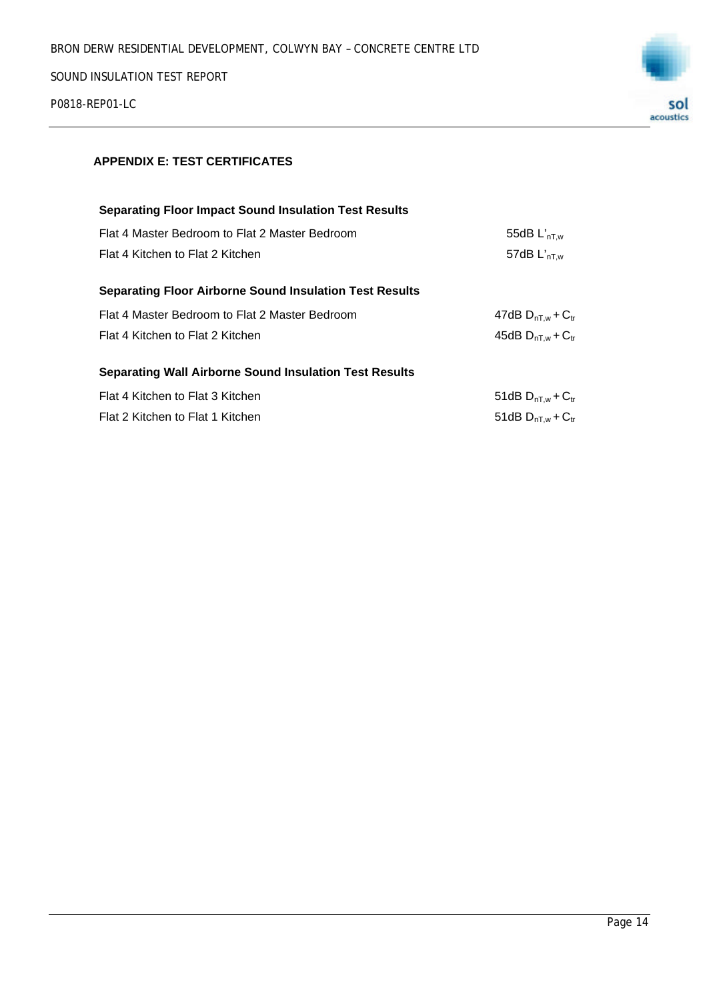P0818-REP01-LC



### **APPENDIX E: TEST CERTIFICATES**

| <b>Separating Floor Impact Sound Insulation Test Results</b>   |                            |
|----------------------------------------------------------------|----------------------------|
| Flat 4 Master Bedroom to Flat 2 Master Bedroom                 | 55dB $L'_{nT,w}$           |
| Flat 4 Kitchen to Flat 2 Kitchen                               | 57dB $L'_{nT,w}$           |
|                                                                |                            |
| <b>Separating Floor Airborne Sound Insulation Test Results</b> |                            |
| Flat 4 Master Bedroom to Flat 2 Master Bedroom                 | 47dB $D_{nT,w}$ + $C_{tr}$ |
| Flat 4 Kitchen to Flat 2 Kitchen                               | 45dB $D_{nT,w}$ + $C_{tr}$ |
|                                                                |                            |
| <b>Separating Wall Airborne Sound Insulation Test Results</b>  |                            |
| Flat 4 Kitchen to Flat 3 Kitchen                               | 51dB $D_{nT,w}$ + $C_{tr}$ |
| Flat 2 Kitchen to Flat 1 Kitchen                               | 51dB $D_{nT,w}$ + $C_{tr}$ |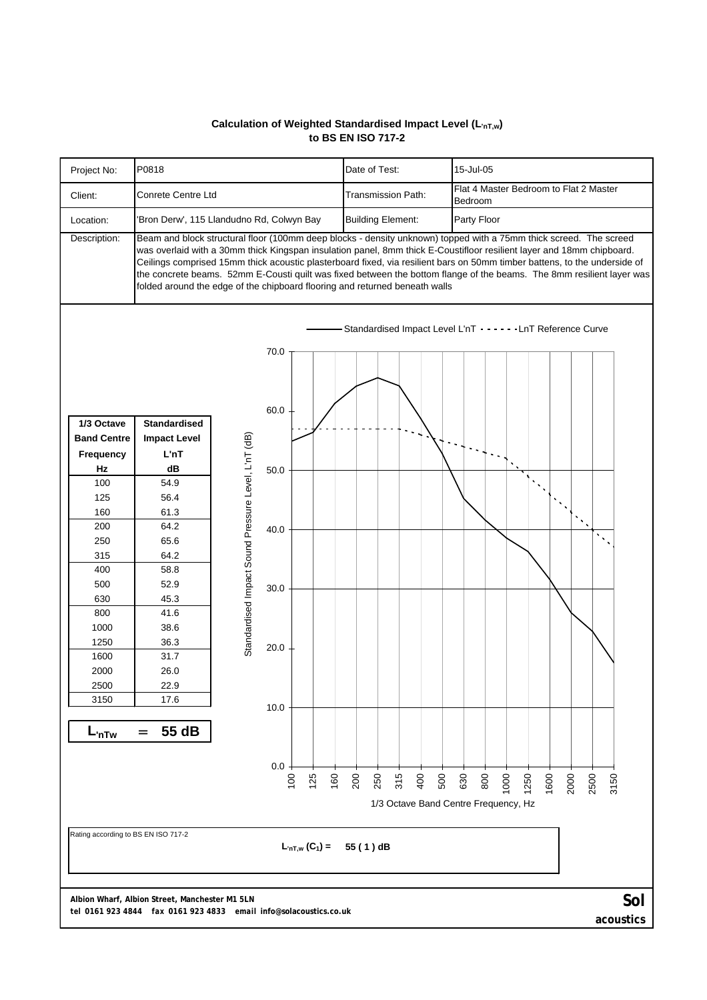#### **Calculation of Weighted Standardised Impact Level (L'nT,w) to BS EN ISO 717-2**



**acoustics**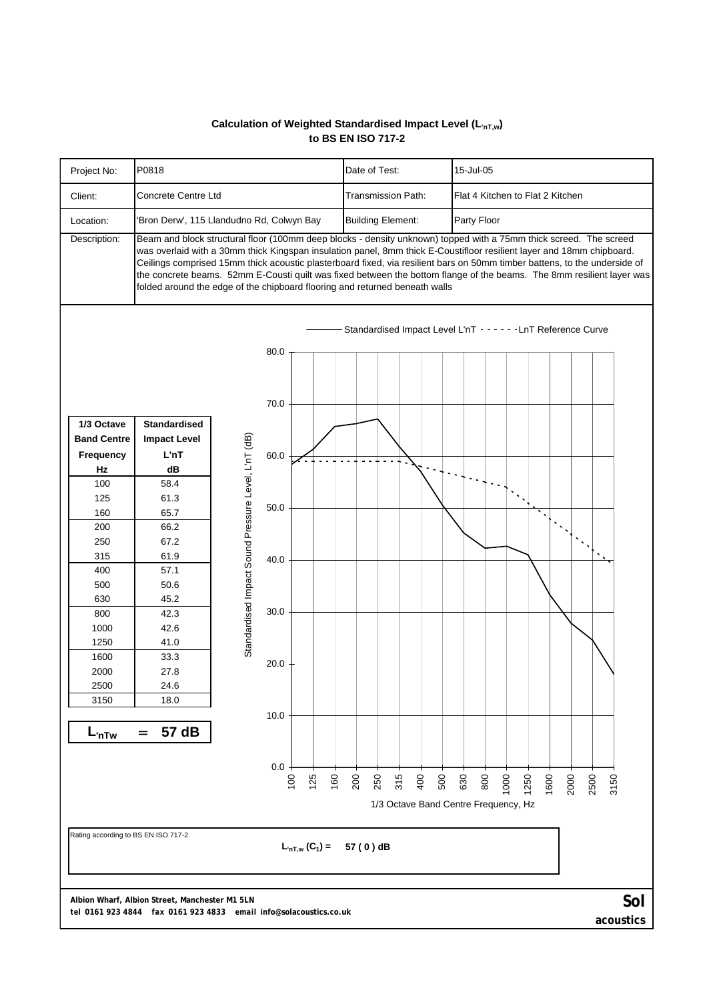#### **Calculation of Weighted Standardised Impact Level (L'nT,w) to BS EN ISO 717-2**



**acoustics**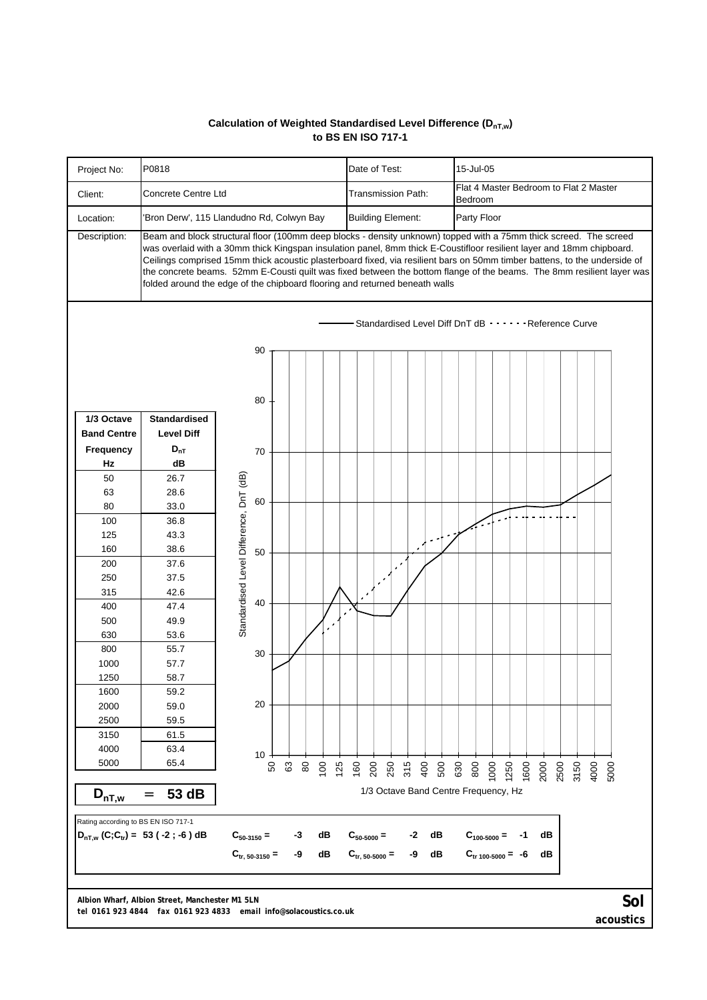#### **Calculation of Weighted Standardised Level Difference (DnT,w) to BS EN ISO 717-1**



*tel* **0161 923 4844** *fax* **0161 923 4833** *email* **info@solacoustics.co.uk**

**acoustics**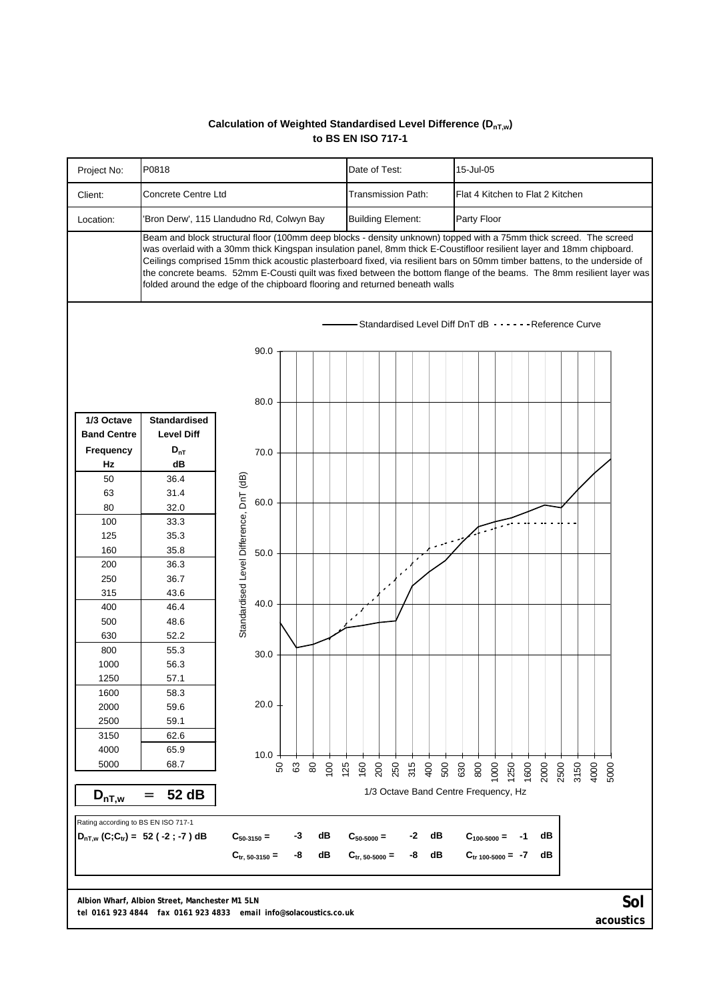#### **Calculation of Weighted Standardised Level Difference (DnT,w) to BS EN ISO 717-1**



**Albion Wharf, Albion Street, Manchester M1 5LN** 

*tel* **0161 923 4844** *fax* **0161 923 4833** *email* **info@solacoustics.co.uk**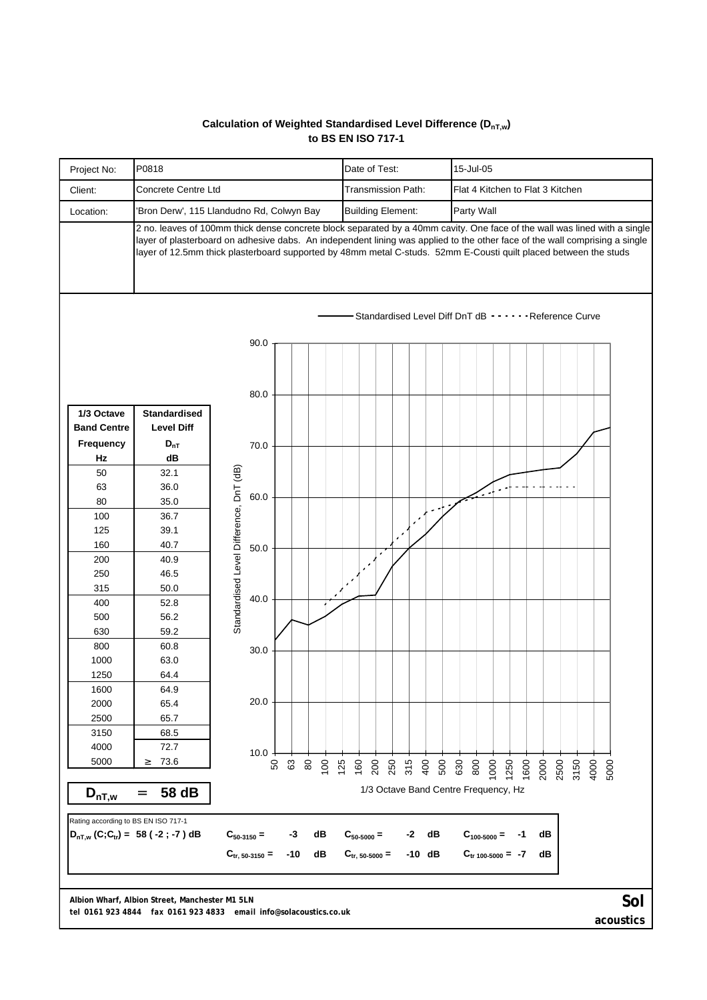#### **Calculation of Weighted Standardised Level Difference (DnT,w) to BS EN ISO 717-1**



**Albion Wharf, Albion Street, Manchester M1 5LN** 

*tel* **0161 923 4844** *fax* **0161 923 4833** *email* **info@solacoustics.co.uk**